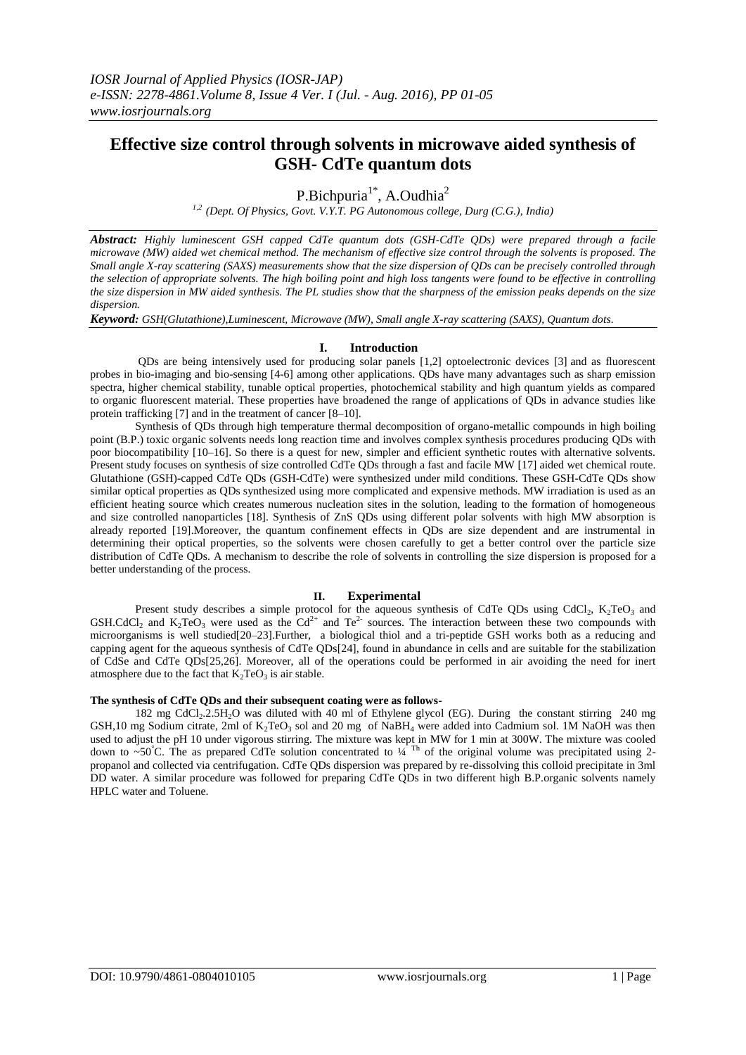# **Effective size control through solvents in microwave aided synthesis of GSH- CdTe quantum dots**

P.Bichpuria<sup>1\*</sup>, A.Oudhia<sup>2</sup>

*1,2 (Dept. Of Physics, Govt. V.Y.T. PG Autonomous college, Durg (C.G.), India)*

*Abstract: Highly luminescent GSH capped CdTe quantum dots (GSH-CdTe QDs) were prepared through a facile microwave (MW) aided wet chemical method. The mechanism of effective size control through the solvents is proposed. The Small angle X-ray scattering (SAXS) measurements show that the size dispersion of QDs can be precisely controlled through the selection of appropriate solvents. The high boiling point and high loss tangents were found to be effective in controlling the size dispersion in MW aided synthesis. The PL studies show that the sharpness of the emission peaks depends on the size dispersion.* 

*Keyword: GSH(Glutathione),Luminescent, Microwave (MW), Small angle X-ray scattering (SAXS), Quantum dots.*

## **I. Introduction**

QDs are being intensively used for producing solar panels [1,2] optoelectronic devices [3] and as fluorescent probes in bio-imaging and bio-sensing [4-6] among other applications. QDs have many advantages such as sharp emission spectra, higher chemical stability, tunable optical properties, photochemical stability and high quantum yields as compared to organic fluorescent material. These properties have broadened the range of applications of QDs in advance studies like protein trafficking [7] and in the treatment of cancer [8–10].

Synthesis of QDs through high temperature thermal decomposition of organo-metallic compounds in high boiling point (B.P.) toxic organic solvents needs long reaction time and involves complex synthesis procedures producing QDs with poor biocompatibility [10–16]. So there is a quest for new, simpler and efficient synthetic routes with alternative solvents. Present study focuses on synthesis of size controlled CdTe QDs through a fast and facile MW [17] aided wet chemical route. Glutathione (GSH)-capped CdTe QDs (GSH-CdTe) were synthesized under mild conditions. These GSH-CdTe QDs show similar optical properties as QDs synthesized using more complicated and expensive methods. MW irradiation is used as an efficient heating source which creates numerous nucleation sites in the solution, leading to the formation of homogeneous and size controlled nanoparticles [18]. Synthesis of ZnS QDs using different polar solvents with high MW absorption is already reported [19].Moreover, the quantum confinement effects in QDs are size dependent and are instrumental in determining their optical properties, so the solvents were chosen carefully to get a better control over the particle size distribution of CdTe QDs. A mechanism to describe the role of solvents in controlling the size dispersion is proposed for a better understanding of the process.

#### **II. Experimental**

Present study describes a simple protocol for the aqueous synthesis of CdTe QDs using CdCl<sub>2</sub>,  $K_2TeO_3$  and GSH.CdCl<sub>2</sub> and K<sub>2</sub>TeO<sub>3</sub> were used as the Cd<sup>2+</sup> and Te<sup>2-</sup> sources. The interaction between these two compounds with microorganisms is well studied[20–23].Further, a biological thiol and a tri-peptide GSH works both as a reducing and capping agent for the aqueous synthesis of CdTe QDs[24], found in abundance in cells and are suitable for the stabilization of CdSe and CdTe QDs[25,26]. Moreover, all of the operations could be performed in air avoiding the need for inert atmosphere due to the fact that  $K_2TeO_3$  is air stable.

#### **The synthesis of CdTe QDs and their subsequent coating were as follows-**

182 mg CdCl<sub>2</sub>.2.5H<sub>2</sub>O was diluted with 40 ml of Ethylene glycol (EG). During the constant stirring 240 mg GSH,10 mg Sodium citrate, 2ml of K<sub>2</sub>TeO<sub>3</sub> sol and 20 mg of NaBH<sub>4</sub> were added into Cadmium sol. 1M NaOH was then used to adjust the pH 10 under vigorous stirring. The mixture was kept in MW for 1 min at 300W. The mixture was cooled down to ~50°C. The as prepared CdTe solution concentrated to  $\frac{1}{4}$ <sup>Th</sup> of the original volume was precipitated using 2propanol and collected via centrifugation. CdTe QDs dispersion was prepared by re-dissolving this colloid precipitate in 3ml DD water. A similar procedure was followed for preparing CdTe ODs in two different high B.P.organic solvents namely HPLC water and Toluene.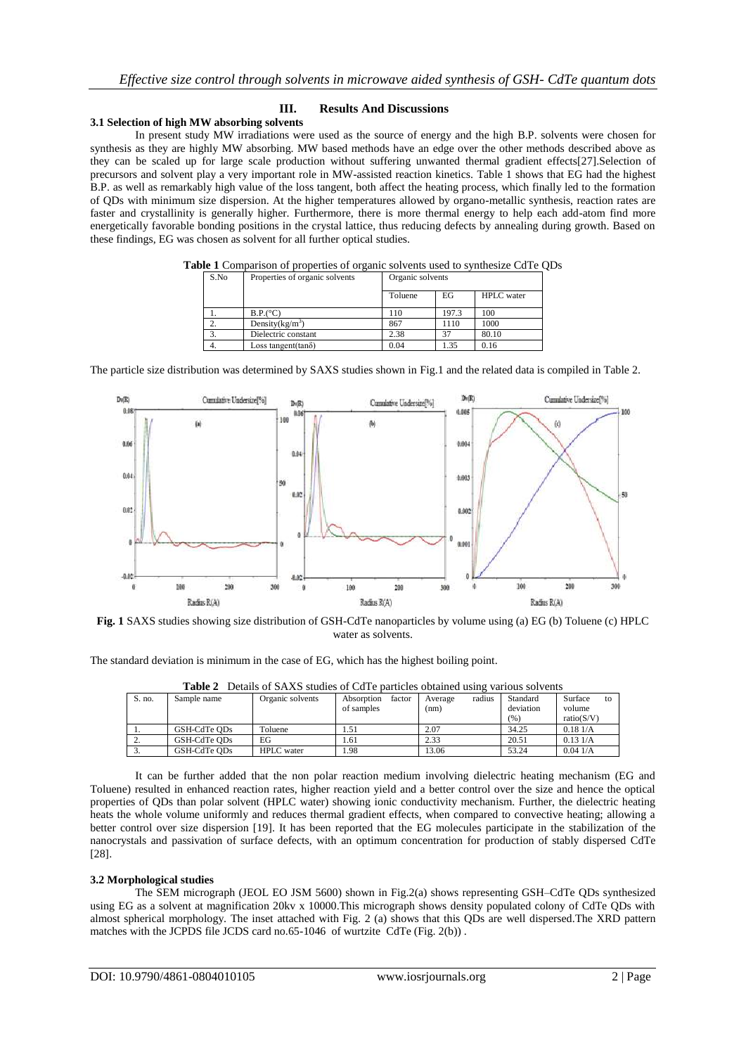## **III. Results And Discussions**

#### **3.1 Selection of high MW absorbing solvents**

In present study MW irradiations were used as the source of energy and the high B.P. solvents were chosen for synthesis as they are highly MW absorbing. MW based methods have an edge over the other methods described above as they can be scaled up for large scale production without suffering unwanted thermal gradient effects[27].Selection of precursors and solvent play a very important role in MW-assisted reaction kinetics. Table 1 shows that EG had the highest B.P. as well as remarkably high value of the loss tangent, both affect the heating process, which finally led to the formation of QDs with minimum size dispersion. At the higher temperatures allowed by organo-metallic synthesis, reaction rates are faster and crystallinity is generally higher. Furthermore, there is more thermal energy to help each add-atom find more energetically favorable bonding positions in the crystal lattice, thus reducing defects by annealing during growth. Based on these findings, EG was chosen as solvent for all further optical studies.

| S.No | Properties of organic solvents | Organic solvents |       |                   |  |  |
|------|--------------------------------|------------------|-------|-------------------|--|--|
|      |                                | Toluene          | EG    | <b>HPLC</b> water |  |  |
|      | B.P. (°C)                      | 110              | 197.3 | 100               |  |  |
|      | Density $(kg/m^3)$             | 867              | 1110  | 1000              |  |  |
| 3.   | Dielectric constant            | 2.38             | 37    | 80.10             |  |  |
|      | Loss tangent $(\tan \delta)$   | 0.04             | 1.35  | 0.16              |  |  |

**Table 1** Comparison of properties of organic solvents used to synthesize CdTe QDs

The particle size distribution was determined by SAXS studies shown in Fig.1 and the related data is compiled in Table 2.



**Fig. 1** SAXS studies showing size distribution of GSH-CdTe nanoparticles by volume using (a) EG (b) Toluene (c) HPLC water as solvents.

The standard deviation is minimum in the case of EG, which has the highest boiling point.

| тане 4<br>Details of SAAS studies of Cu Le Darticles obtained using various solvents |              |                   |                      |                   |           |               |  |  |  |
|--------------------------------------------------------------------------------------|--------------|-------------------|----------------------|-------------------|-----------|---------------|--|--|--|
| S. no.                                                                               | Sample name  | Organic solvents  | Absorption<br>factor | radius<br>Average | Standard  | Surface<br>tΩ |  |  |  |
|                                                                                      |              |                   | of samples           | (nm)              | deviation | volume        |  |  |  |
|                                                                                      |              |                   |                      |                   | (96)      | ratio(S/V)    |  |  |  |
|                                                                                      | GSH-CdTe ODs | Toluene           | 1.51                 | 2.07              | 34.25     | 0.181/A       |  |  |  |
|                                                                                      | GSH-CdTe ODs | EG                | .61                  | 2.33              | 20.51     | 0.131/A       |  |  |  |
|                                                                                      | GSH-CdTe ODs | <b>HPLC</b> water | . 98                 | 13.06             | 53.24     | 0.041/A       |  |  |  |

**Table 2** Details of SAXS studies of CdTe particles obtained using various solvents

It can be further added that the non polar reaction medium involving dielectric heating mechanism (EG and Toluene) resulted in enhanced reaction rates, higher reaction yield and a better control over the size and hence the optical properties of QDs than polar solvent (HPLC water) showing ionic conductivity mechanism. Further, the dielectric heating heats the whole volume uniformly and reduces thermal gradient effects, when compared to convective heating; allowing a better control over size dispersion [19]. It has been reported that the EG molecules participate in the stabilization of the nanocrystals and passivation of surface defects, with an optimum concentration for production of stably dispersed CdTe [28].

#### **3.2 Morphological studies**

The SEM micrograph (JEOL EO JSM 5600) shown in Fig.2(a) shows representing GSH–CdTe QDs synthesized using EG as a solvent at magnification 20kv x 10000.This micrograph shows density populated colony of CdTe QDs with almost spherical morphology. The inset attached with Fig. 2 (a) shows that this QDs are well dispersed.The XRD pattern matches with the JCPDS file JCDS card no.65-1046 of wurtzite CdTe (Fig. 2(b)) .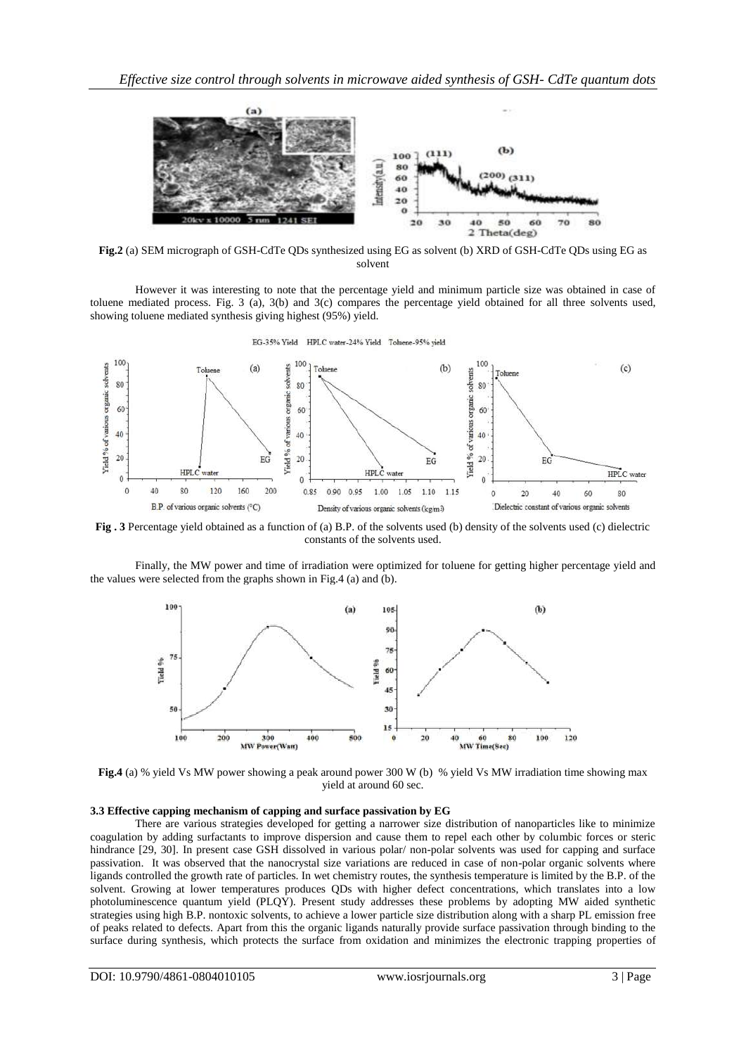

**Fig.2** (a) SEM micrograph of GSH-CdTe QDs synthesized using EG as solvent (b) XRD of GSH-CdTe QDs using EG as solvent

However it was interesting to note that the percentage yield and minimum particle size was obtained in case of toluene mediated process. Fig. 3 (a), 3(b) and 3(c) compares the percentage yield obtained for all three solvents used, showing toluene mediated synthesis giving highest (95%) yield.



**Fig . 3** Percentage yield obtained as a function of (a) B.P. of the solvents used (b) density of the solvents used (c) dielectric constants of the solvents used.

Finally, the MW power and time of irradiation were optimized for toluene for getting higher percentage yield and the values were selected from the graphs shown in Fig.4 (a) and (b).



**Fig.4** (a) % yield Vs MW power showing a peak around power 300 W (b) % yield Vs MW irradiation time showing max yield at around 60 sec.

#### **3.3 Effective capping mechanism of capping and surface passivation by EG**

There are various strategies developed for getting a narrower size distribution of nanoparticles like to minimize coagulation by adding surfactants to improve dispersion and cause them to repel each other by columbic forces or steric hindrance [29, 30]. In present case GSH dissolved in various polar/ non-polar solvents was used for capping and surface passivation. It was observed that the nanocrystal size variations are reduced in case of non-polar organic solvents where ligands controlled the growth rate of particles. In wet chemistry routes, the synthesis temperature is limited by the B.P. of the solvent. Growing at lower temperatures produces QDs with higher defect concentrations, which translates into a low photoluminescence quantum yield (PLQY). Present study addresses these problems by adopting MW aided synthetic strategies using high B.P. nontoxic solvents, to achieve a lower particle size distribution along with a sharp PL emission free of peaks related to defects. Apart from this the organic ligands naturally provide surface passivation through binding to the surface during synthesis, which protects the surface from oxidation and minimizes the electronic trapping properties of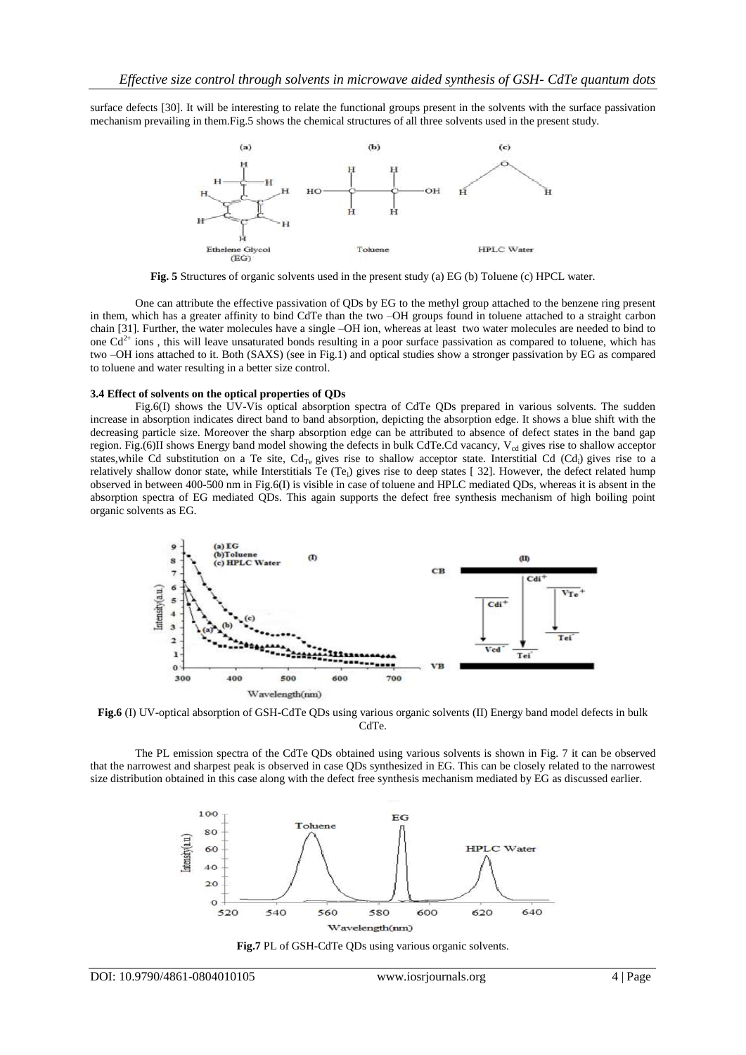surface defects [30]. It will be interesting to relate the functional groups present in the solvents with the surface passivation mechanism prevailing in them.Fig.5 shows the chemical structures of all three solvents used in the present study.



**Fig. 5** Structures of organic solvents used in the present study (a) EG (b) Toluene (c) HPCL water.

One can attribute the effective passivation of QDs by EG to the methyl group attached to the benzene ring present in them, which has a greater affinity to bind CdTe than the two –OH groups found in toluene attached to a straight carbon chain [31]. Further, the water molecules have a single –OH ion, whereas at least two water molecules are needed to bind to one  $Cd^{2+}$  ions, this will leave unsaturated bonds resulting in a poor surface passivation as compared to toluene, which has two –OH ions attached to it. Both (SAXS) (see in Fig.1) and optical studies show a stronger passivation by EG as compared to toluene and water resulting in a better size control.

## **3.4 Effect of solvents on the optical properties of QDs**

Fig.6(I) shows the UV-Vis optical absorption spectra of CdTe QDs prepared in various solvents. The sudden increase in absorption indicates direct band to band absorption, depicting the absorption edge. It shows a blue shift with the decreasing particle size. Moreover the sharp absorption edge can be attributed to absence of defect states in the band gap region. Fig.(6)II shows Energy band model showing the defects in bulk CdTe.Cd vacancy,  $V_{cd}$  gives rise to shallow acceptor states, while Cd substitution on a Te site,  $Cd_{Te}$  gives rise to shallow acceptor state. Interstitial Cd (Cd<sub>i</sub>) gives rise to a relatively shallow donor state, while Interstitials Te (Te<sub>i</sub>) gives rise to deep states [32]. However, the defect related hump observed in between 400-500 nm in Fig.6(I) is visible in case of toluene and HPLC mediated QDs, whereas it is absent in the absorption spectra of EG mediated QDs. This again supports the defect free synthesis mechanism of high boiling point organic solvents as EG.



**Fig.6** (I) UV-optical absorption of GSH-CdTe QDs using various organic solvents (II) Energy band model defects in bulk CdTe.

The PL emission spectra of the CdTe QDs obtained using various solvents is shown in Fig. 7 it can be observed that the narrowest and sharpest peak is observed in case QDs synthesized in EG. This can be closely related to the narrowest size distribution obtained in this case along with the defect free synthesis mechanism mediated by EG as discussed earlier.